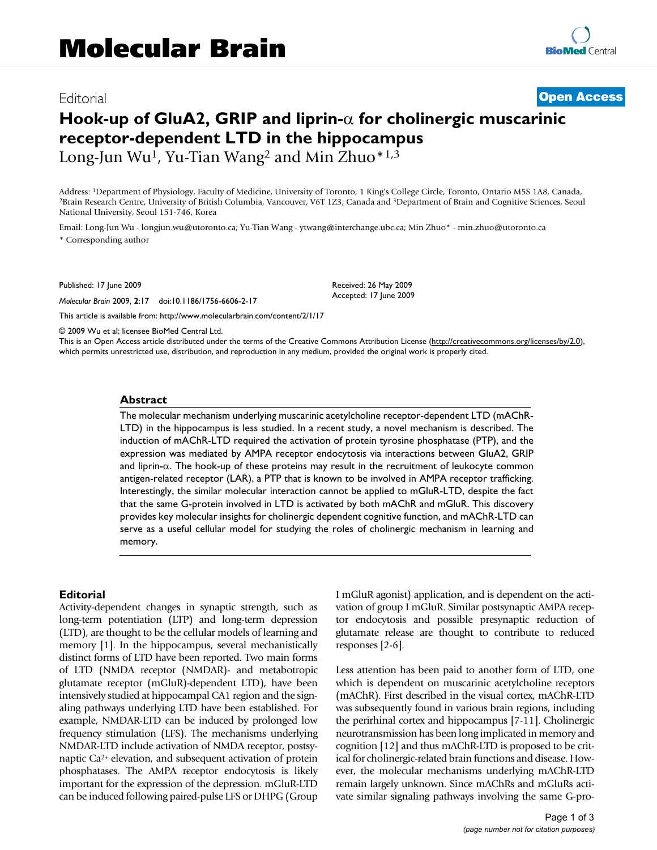## Editorial **[Open Access](http://www.biomedcentral.com/info/about/charter/)**

# **Hook-up of GluA2, GRIP and liprin-**α **for cholinergic muscarinic receptor-dependent LTD in the hippocampus** Long-Jun Wu<sup>1</sup>, Yu-Tian Wang<sup>2</sup> and Min Zhuo $*1,3$

Address: <sup>1</sup>Department of Physiology, Faculty of Medicine, University of Toronto, 1 King's College Circle, Toronto, Ontario M5S 1A8, Canada, <sup>2</sup>Brain Research Centre, University of British Columbia, Vancouver, V6T 1Z3, Can

Email: Long-Jun Wu - longjun.wu@utoronto.ca; Yu-Tian Wang - ytwang@interchange.ubc.ca; Min Zhuo\* - min.zhuo@utoronto.ca \* Corresponding author

Published: 17 June 2009

*Molecular Brain* 2009, **2**:17 doi:10.1186/1756-6606-2-17

[This article is available from: http://www.molecularbrain.com/content/2/1/17](http://www.molecularbrain.com/content/2/1/17)

© 2009 Wu et al; licensee BioMed Central Ltd.

National University, Seoul 151-746, Korea

This is an Open Access article distributed under the terms of the Creative Commons Attribution License [\(http://creativecommons.org/licenses/by/2.0\)](http://creativecommons.org/licenses/by/2.0), which permits unrestricted use, distribution, and reproduction in any medium, provided the original work is properly cited.

Received: 26 May 2009 Accepted: 17 June 2009

#### **Abstract**

The molecular mechanism underlying muscarinic acetylcholine receptor-dependent LTD (mAChR-LTD) in the hippocampus is less studied. In a recent study, a novel mechanism is described. The induction of mAChR-LTD required the activation of protein tyrosine phosphatase (PTP), and the expression was mediated by AMPA receptor endocytosis via interactions between GluA2, GRIP and liprin-α. The hook-up of these proteins may result in the recruitment of leukocyte common antigen-related receptor (LAR), a PTP that is known to be involved in AMPA receptor trafficking. Interestingly, the similar molecular interaction cannot be applied to mGluR-LTD, despite the fact that the same G-protein involved in LTD is activated by both mAChR and mGluR. This discovery provides key molecular insights for cholinergic dependent cognitive function, and mAChR-LTD can serve as a useful cellular model for studying the roles of cholinergic mechanism in learning and memory.

### **Editorial**

Activity-dependent changes in synaptic strength, such as long-term potentiation (LTP) and long-term depression (LTD), are thought to be the cellular models of learning and memory [1]. In the hippocampus, several mechanistically distinct forms of LTD have been reported. Two main forms of LTD (NMDA receptor (NMDAR)- and metabotropic glutamate receptor (mGluR)-dependent LTD), have been intensively studied at hippocampal CA1 region and the signaling pathways underlying LTD have been established. For example, NMDAR-LTD can be induced by prolonged low frequency stimulation (LFS). The mechanisms underlying NMDAR-LTD include activation of NMDA receptor, postsynaptic Ca2+ elevation, and subsequent activation of protein phosphatases. The AMPA receptor endocytosis is likely important for the expression of the depression. mGluR-LTD can be induced following paired-pulse LFS or DHPG (Group I mGluR agonist) application, and is dependent on the activation of group I mGluR. Similar postsynaptic AMPA receptor endocytosis and possible presynaptic reduction of glutamate release are thought to contribute to reduced responses [2-6].

Less attention has been paid to another form of LTD, one which is dependent on muscarinic acetylcholine receptors (mAChR). First described in the visual cortex, mAChR-LTD was subsequently found in various brain regions, including the perirhinal cortex and hippocampus [7-11]. Cholinergic neurotransmission has been long implicated in memory and cognition [12] and thus mAChR-LTD is proposed to be critical for cholinergic-related brain functions and disease. However, the molecular mechanisms underlying mAChR-LTD remain largely unknown. Since mAChRs and mGluRs activate similar signaling pathways involving the same G-pro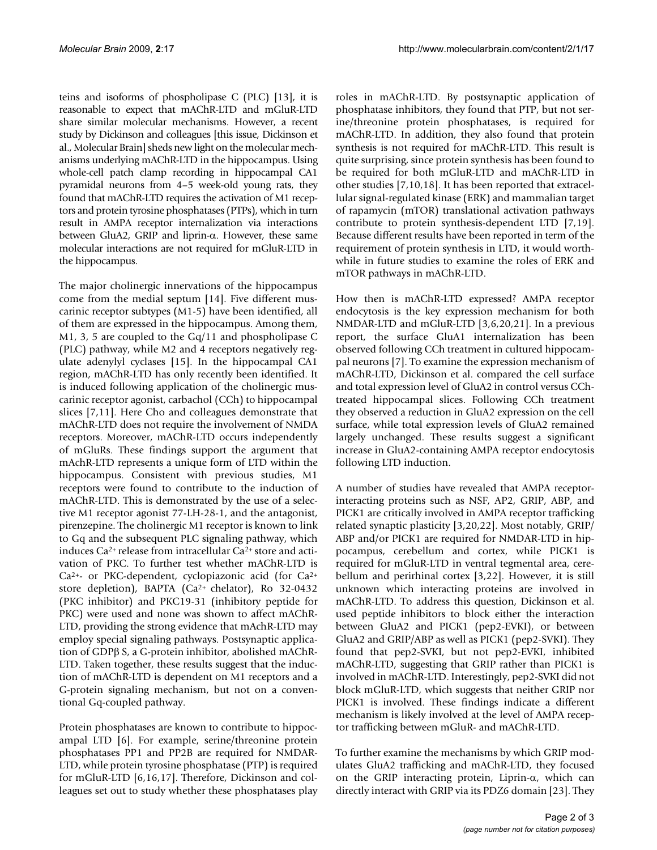teins and isoforms of phospholipase C (PLC) [13], it is reasonable to expect that mAChR-LTD and mGluR-LTD share similar molecular mechanisms. However, a recent study by Dickinson and colleagues [this issue, Dickinson et al., Molecular Brain] sheds new light on the molecular mechanisms underlying mAChR-LTD in the hippocampus. Using whole-cell patch clamp recording in hippocampal CA1 pyramidal neurons from 4–5 week-old young rats, they found that mAChR-LTD requires the activation of M1 receptors and protein tyrosine phosphatases (PTPs), which in turn result in AMPA receptor internalization via interactions between GluA2, GRIP and liprin-α. However, these same molecular interactions are not required for mGluR-LTD in the hippocampus.

The major cholinergic innervations of the hippocampus come from the medial septum [14]. Five different muscarinic receptor subtypes (M1-5) have been identified, all of them are expressed in the hippocampus. Among them, M1, 3, 5 are coupled to the Gq/11 and phospholipase C (PLC) pathway, while M2 and 4 receptors negatively regulate adenylyl cyclases [15]. In the hippocampal CA1 region, mAChR-LTD has only recently been identified. It is induced following application of the cholinergic muscarinic receptor agonist, carbachol (CCh) to hippocampal slices [7,11]. Here Cho and colleagues demonstrate that mAChR-LTD does not require the involvement of NMDA receptors. Moreover, mAChR-LTD occurs independently of mGluRs. These findings support the argument that mAchR-LTD represents a unique form of LTD within the hippocampus. Consistent with previous studies, M1 receptors were found to contribute to the induction of mAChR-LTD. This is demonstrated by the use of a selective M1 receptor agonist 77-LH-28-1, and the antagonist, pirenzepine. The cholinergic M1 receptor is known to link to Gq and the subsequent PLC signaling pathway, which induces Ca2+ release from intracellular Ca2+ store and activation of PKC. To further test whether mAChR-LTD is Ca2+- or PKC-dependent, cyclopiazonic acid (for Ca2+ store depletion), BAPTA (Ca2+ chelator), Ro 32-0432 (PKC inhibitor) and PKC19-31 (inhibitory peptide for PKC) were used and none was shown to affect mAChR-LTD, providing the strong evidence that mAchR-LTD may employ special signaling pathways. Postsynaptic application of GDPβ S, a G-protein inhibitor, abolished mAChR-LTD. Taken together, these results suggest that the induction of mAChR-LTD is dependent on M1 receptors and a G-protein signaling mechanism, but not on a conventional Gq-coupled pathway.

Protein phosphatases are known to contribute to hippocampal LTD [6]. For example, serine/threonine protein phosphatases PP1 and PP2B are required for NMDAR-LTD, while protein tyrosine phosphatase (PTP) is required for mGluR-LTD [6,16,17]. Therefore, Dickinson and colleagues set out to study whether these phosphatases play

roles in mAChR-LTD. By postsynaptic application of phosphatase inhibitors, they found that PTP, but not serine/threonine protein phosphatases, is required for mAChR-LTD. In addition, they also found that protein synthesis is not required for mAChR-LTD. This result is quite surprising, since protein synthesis has been found to be required for both mGluR-LTD and mAChR-LTD in other studies [7,10,18]. It has been reported that extracellular signal-regulated kinase (ERK) and mammalian target of rapamycin (mTOR) translational activation pathways contribute to protein synthesis-dependent LTD [7,19]. Because different results have been reported in term of the requirement of protein synthesis in LTD, it would worthwhile in future studies to examine the roles of ERK and mTOR pathways in mAChR-LTD.

How then is mAChR-LTD expressed? AMPA receptor endocytosis is the key expression mechanism for both NMDAR-LTD and mGluR-LTD [3,6,20,21]. In a previous report, the surface GluA1 internalization has been observed following CCh treatment in cultured hippocampal neurons [7]. To examine the expression mechanism of mAChR-LTD, Dickinson et al. compared the cell surface and total expression level of GluA2 in control versus CChtreated hippocampal slices. Following CCh treatment they observed a reduction in GluA2 expression on the cell surface, while total expression levels of GluA2 remained largely unchanged. These results suggest a significant increase in GluA2-containing AMPA receptor endocytosis following LTD induction.

A number of studies have revealed that AMPA receptorinteracting proteins such as NSF, AP2, GRIP, ABP, and PICK1 are critically involved in AMPA receptor trafficking related synaptic plasticity [3,20,22]. Most notably, GRIP/ ABP and/or PICK1 are required for NMDAR-LTD in hippocampus, cerebellum and cortex, while PICK1 is required for mGluR-LTD in ventral tegmental area, cerebellum and perirhinal cortex [3,22]. However, it is still unknown which interacting proteins are involved in mAChR-LTD. To address this question, Dickinson et al. used peptide inhibitors to block either the interaction between GluA2 and PICK1 (pep2-EVKI), or between GluA2 and GRIP/ABP as well as PICK1 (pep2-SVKI). They found that pep2-SVKI, but not pep2-EVKI, inhibited mAChR-LTD, suggesting that GRIP rather than PICK1 is involved in mAChR-LTD. Interestingly, pep2-SVKI did not block mGluR-LTD, which suggests that neither GRIP nor PICK1 is involved. These findings indicate a different mechanism is likely involved at the level of AMPA receptor trafficking between mGluR- and mAChR-LTD.

To further examine the mechanisms by which GRIP modulates GluA2 trafficking and mAChR-LTD, they focused on the GRIP interacting protein, Liprin-α, which can directly interact with GRIP via its PDZ6 domain [23]. They